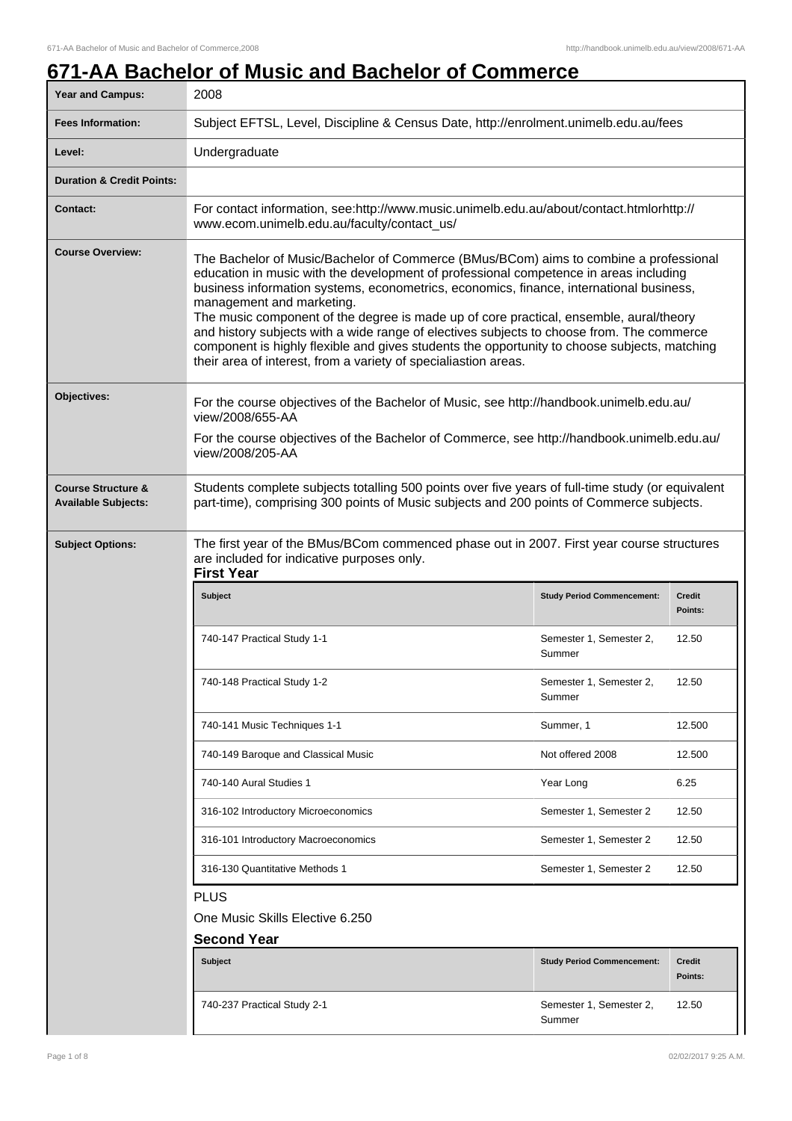## **671-AA Bachelor of Music and Bachelor of Commerce**

| <b>Year and Campus:</b>                                     | 2008                                                                                                                                                                                                                                                                                                                                                                                                                                                                                                                                                                                                                                                             |                                   |                          |
|-------------------------------------------------------------|------------------------------------------------------------------------------------------------------------------------------------------------------------------------------------------------------------------------------------------------------------------------------------------------------------------------------------------------------------------------------------------------------------------------------------------------------------------------------------------------------------------------------------------------------------------------------------------------------------------------------------------------------------------|-----------------------------------|--------------------------|
| <b>Fees Information:</b>                                    | Subject EFTSL, Level, Discipline & Census Date, http://enrolment.unimelb.edu.au/fees                                                                                                                                                                                                                                                                                                                                                                                                                                                                                                                                                                             |                                   |                          |
| Level:                                                      | Undergraduate                                                                                                                                                                                                                                                                                                                                                                                                                                                                                                                                                                                                                                                    |                                   |                          |
| <b>Duration &amp; Credit Points:</b>                        |                                                                                                                                                                                                                                                                                                                                                                                                                                                                                                                                                                                                                                                                  |                                   |                          |
| <b>Contact:</b>                                             | For contact information, see:http://www.music.unimelb.edu.au/about/contact.htmlorhttp://<br>www.ecom.unimelb.edu.au/faculty/contact_us/                                                                                                                                                                                                                                                                                                                                                                                                                                                                                                                          |                                   |                          |
| <b>Course Overview:</b>                                     | The Bachelor of Music/Bachelor of Commerce (BMus/BCom) aims to combine a professional<br>education in music with the development of professional competence in areas including<br>business information systems, econometrics, economics, finance, international business,<br>management and marketing.<br>The music component of the degree is made up of core practical, ensemble, aural/theory<br>and history subjects with a wide range of electives subjects to choose from. The commerce<br>component is highly flexible and gives students the opportunity to choose subjects, matching<br>their area of interest, from a variety of specialiastion areas. |                                   |                          |
| Objectives:                                                 | For the course objectives of the Bachelor of Music, see http://handbook.unimelb.edu.au/<br>view/2008/655-AA<br>For the course objectives of the Bachelor of Commerce, see http://handbook.unimelb.edu.au/<br>view/2008/205-AA                                                                                                                                                                                                                                                                                                                                                                                                                                    |                                   |                          |
| <b>Course Structure &amp;</b><br><b>Available Subjects:</b> | Students complete subjects totalling 500 points over five years of full-time study (or equivalent<br>part-time), comprising 300 points of Music subjects and 200 points of Commerce subjects.                                                                                                                                                                                                                                                                                                                                                                                                                                                                    |                                   |                          |
| <b>Subject Options:</b>                                     | The first year of the BMus/BCom commenced phase out in 2007. First year course structures<br>are included for indicative purposes only.<br><b>First Year</b>                                                                                                                                                                                                                                                                                                                                                                                                                                                                                                     |                                   |                          |
|                                                             | <b>Subject</b>                                                                                                                                                                                                                                                                                                                                                                                                                                                                                                                                                                                                                                                   | <b>Study Period Commencement:</b> | <b>Credit</b><br>Points: |
|                                                             | 740-147 Practical Study 1-1                                                                                                                                                                                                                                                                                                                                                                                                                                                                                                                                                                                                                                      | Semester 1, Semester 2,<br>Summer | 12.50                    |
|                                                             | 740-148 Practical Study 1-2                                                                                                                                                                                                                                                                                                                                                                                                                                                                                                                                                                                                                                      | Semester 1, Semester 2,<br>Summer | 12.50                    |
|                                                             | 740-141 Music Techniques 1-1                                                                                                                                                                                                                                                                                                                                                                                                                                                                                                                                                                                                                                     | Summer, 1                         | 12.500                   |
|                                                             | 740-149 Baroque and Classical Music                                                                                                                                                                                                                                                                                                                                                                                                                                                                                                                                                                                                                              | Not offered 2008                  | 12.500                   |
|                                                             | 740-140 Aural Studies 1                                                                                                                                                                                                                                                                                                                                                                                                                                                                                                                                                                                                                                          | Year Long                         | 6.25                     |
|                                                             | 316-102 Introductory Microeconomics                                                                                                                                                                                                                                                                                                                                                                                                                                                                                                                                                                                                                              | Semester 1, Semester 2            | 12.50                    |
|                                                             | 316-101 Introductory Macroeconomics                                                                                                                                                                                                                                                                                                                                                                                                                                                                                                                                                                                                                              | Semester 1, Semester 2            | 12.50                    |
|                                                             | 316-130 Quantitative Methods 1                                                                                                                                                                                                                                                                                                                                                                                                                                                                                                                                                                                                                                   | Semester 1, Semester 2            | 12.50                    |
|                                                             | <b>PLUS</b>                                                                                                                                                                                                                                                                                                                                                                                                                                                                                                                                                                                                                                                      |                                   |                          |
|                                                             | One Music Skills Elective 6.250                                                                                                                                                                                                                                                                                                                                                                                                                                                                                                                                                                                                                                  |                                   |                          |
|                                                             | <b>Second Year</b>                                                                                                                                                                                                                                                                                                                                                                                                                                                                                                                                                                                                                                               |                                   |                          |
|                                                             | Subject                                                                                                                                                                                                                                                                                                                                                                                                                                                                                                                                                                                                                                                          | <b>Study Period Commencement:</b> | <b>Credit</b><br>Points: |
|                                                             | 740-237 Practical Study 2-1                                                                                                                                                                                                                                                                                                                                                                                                                                                                                                                                                                                                                                      | Semester 1, Semester 2,<br>Summer | 12.50                    |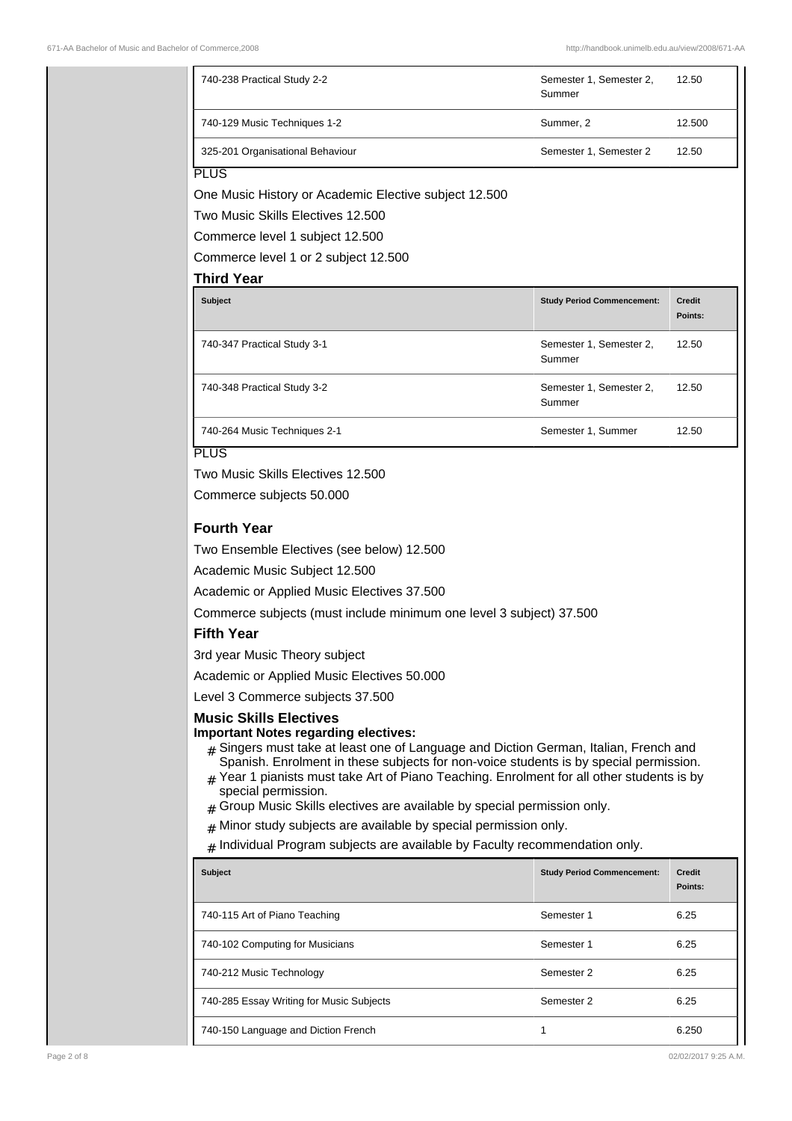| 740-238 Practical Study 2-2                                                                                                                                                                                                                                                                                                                                                                                                                                                                                                                                                                                                                                                                                                                                                                                                                                                                                                                                                                                           | Semester 1, Semester 2,<br>Summer | 12.50                    |
|-----------------------------------------------------------------------------------------------------------------------------------------------------------------------------------------------------------------------------------------------------------------------------------------------------------------------------------------------------------------------------------------------------------------------------------------------------------------------------------------------------------------------------------------------------------------------------------------------------------------------------------------------------------------------------------------------------------------------------------------------------------------------------------------------------------------------------------------------------------------------------------------------------------------------------------------------------------------------------------------------------------------------|-----------------------------------|--------------------------|
| 740-129 Music Techniques 1-2                                                                                                                                                                                                                                                                                                                                                                                                                                                                                                                                                                                                                                                                                                                                                                                                                                                                                                                                                                                          | Summer, 2                         | 12.500                   |
| 325-201 Organisational Behaviour                                                                                                                                                                                                                                                                                                                                                                                                                                                                                                                                                                                                                                                                                                                                                                                                                                                                                                                                                                                      | Semester 1, Semester 2            | 12.50                    |
| <b>PLUS</b><br>One Music History or Academic Elective subject 12.500<br>Two Music Skills Electives 12,500<br>Commerce level 1 subject 12.500<br>Commerce level 1 or 2 subject 12.500                                                                                                                                                                                                                                                                                                                                                                                                                                                                                                                                                                                                                                                                                                                                                                                                                                  |                                   |                          |
| <b>Third Year</b>                                                                                                                                                                                                                                                                                                                                                                                                                                                                                                                                                                                                                                                                                                                                                                                                                                                                                                                                                                                                     |                                   |                          |
| <b>Subject</b>                                                                                                                                                                                                                                                                                                                                                                                                                                                                                                                                                                                                                                                                                                                                                                                                                                                                                                                                                                                                        | <b>Study Period Commencement:</b> | <b>Credit</b><br>Points: |
| 740-347 Practical Study 3-1                                                                                                                                                                                                                                                                                                                                                                                                                                                                                                                                                                                                                                                                                                                                                                                                                                                                                                                                                                                           | Semester 1, Semester 2,<br>Summer | 12.50                    |
| 740-348 Practical Study 3-2                                                                                                                                                                                                                                                                                                                                                                                                                                                                                                                                                                                                                                                                                                                                                                                                                                                                                                                                                                                           | Semester 1, Semester 2,<br>Summer | 12.50                    |
| 740-264 Music Techniques 2-1                                                                                                                                                                                                                                                                                                                                                                                                                                                                                                                                                                                                                                                                                                                                                                                                                                                                                                                                                                                          | Semester 1, Summer                | 12.50                    |
| Commerce subjects 50.000<br><b>Fourth Year</b><br>Two Ensemble Electives (see below) 12.500<br>Academic Music Subject 12.500<br>Academic or Applied Music Electives 37.500<br>Commerce subjects (must include minimum one level 3 subject) 37.500<br><b>Fifth Year</b><br>3rd year Music Theory subject<br>Academic or Applied Music Electives 50.000<br>Level 3 Commerce subjects 37.500<br><b>Music Skills Electives</b><br><b>Important Notes regarding electives:</b><br>$#$ Singers must take at least one of Language and Diction German, Italian, French and<br>Spanish. Enrolment in these subjects for non-voice students is by special permission.<br>$*$ Year 1 pianists must take Art of Piano Teaching. Enrolment for all other students is by<br>special permission.<br>Group Music Skills electives are available by special permission only.<br>Minor study subjects are available by special permission only.<br>#<br>Individual Program subjects are available by Faculty recommendation only.<br># |                                   |                          |
| <b>Subject</b>                                                                                                                                                                                                                                                                                                                                                                                                                                                                                                                                                                                                                                                                                                                                                                                                                                                                                                                                                                                                        | <b>Study Period Commencement:</b> | <b>Credit</b><br>Points: |
| 740-115 Art of Piano Teaching                                                                                                                                                                                                                                                                                                                                                                                                                                                                                                                                                                                                                                                                                                                                                                                                                                                                                                                                                                                         | Semester 1                        | 6.25                     |
| 740-102 Computing for Musicians                                                                                                                                                                                                                                                                                                                                                                                                                                                                                                                                                                                                                                                                                                                                                                                                                                                                                                                                                                                       | Semester 1                        | 6.25                     |
| 740-212 Music Technology                                                                                                                                                                                                                                                                                                                                                                                                                                                                                                                                                                                                                                                                                                                                                                                                                                                                                                                                                                                              | Semester 2                        | 6.25                     |
| 740-285 Essay Writing for Music Subjects                                                                                                                                                                                                                                                                                                                                                                                                                                                                                                                                                                                                                                                                                                                                                                                                                                                                                                                                                                              | Semester 2                        | 6.25                     |
| 740-150 Language and Diction French                                                                                                                                                                                                                                                                                                                                                                                                                                                                                                                                                                                                                                                                                                                                                                                                                                                                                                                                                                                   | 1                                 | 6.250                    |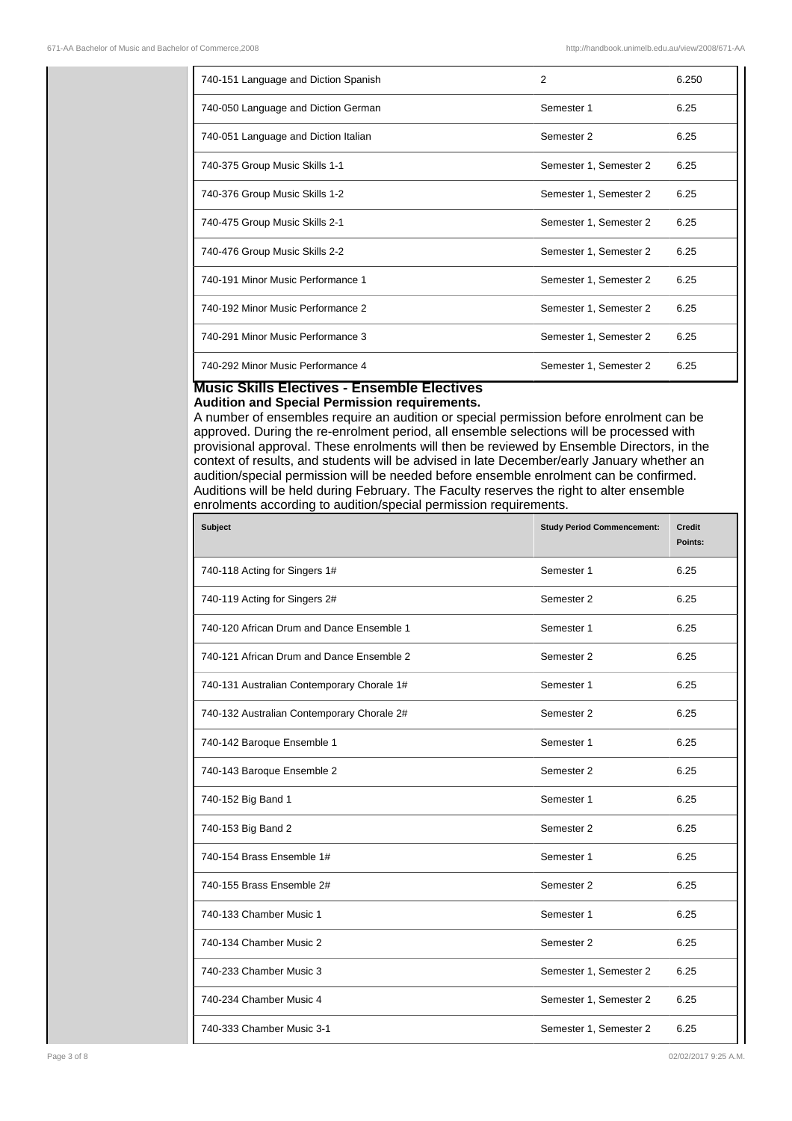| 740-151 Language and Diction Spanish | 2                      | 6.250 |
|--------------------------------------|------------------------|-------|
| 740-050 Language and Diction German  | Semester 1             | 6.25  |
| 740-051 Language and Diction Italian | Semester 2             | 6.25  |
| 740-375 Group Music Skills 1-1       | Semester 1, Semester 2 | 6.25  |
| 740-376 Group Music Skills 1-2       | Semester 1, Semester 2 | 6.25  |
| 740-475 Group Music Skills 2-1       | Semester 1, Semester 2 | 6.25  |
| 740-476 Group Music Skills 2-2       | Semester 1, Semester 2 | 6.25  |
| 740-191 Minor Music Performance 1    | Semester 1, Semester 2 | 6.25  |
| 740-192 Minor Music Performance 2    | Semester 1, Semester 2 | 6.25  |
| 740-291 Minor Music Performance 3    | Semester 1, Semester 2 | 6.25  |
| 740-292 Minor Music Performance 4    | Semester 1, Semester 2 | 6.25  |

## **Music Skills Electives - Ensemble Electives Audition and Special Permission requirements.**

A number of ensembles require an audition or special permission before enrolment can be approved. During the re-enrolment period, all ensemble selections will be processed with provisional approval. These enrolments will then be reviewed by Ensemble Directors, in the context of results, and students will be advised in late December/early January whether an audition/special permission will be needed before ensemble enrolment can be confirmed. Auditions will be held during February. The Faculty reserves the right to alter ensemble enrolments according to audition/special permission requirements.

| <b>Subject</b>                             | <b>Study Period Commencement:</b> | <b>Credit</b><br>Points: |
|--------------------------------------------|-----------------------------------|--------------------------|
| 740-118 Acting for Singers 1#              | Semester 1                        | 6.25                     |
| 740-119 Acting for Singers 2#              | Semester 2                        | 6.25                     |
| 740-120 African Drum and Dance Ensemble 1  | Semester 1                        | 6.25                     |
| 740-121 African Drum and Dance Ensemble 2  | Semester 2                        | 6.25                     |
| 740-131 Australian Contemporary Chorale 1# | Semester 1                        | 6.25                     |
| 740-132 Australian Contemporary Chorale 2# | Semester 2                        | 6.25                     |
| 740-142 Baroque Ensemble 1                 | Semester 1                        | 6.25                     |
| 740-143 Baroque Ensemble 2                 | Semester 2                        | 6.25                     |
| 740-152 Big Band 1                         | Semester 1                        | 6.25                     |
| 740-153 Big Band 2                         | Semester 2                        | 6.25                     |
| 740-154 Brass Ensemble 1#                  | Semester 1                        | 6.25                     |
| 740-155 Brass Ensemble 2#                  | Semester 2                        | 6.25                     |
| 740-133 Chamber Music 1                    | Semester 1                        | 6.25                     |
| 740-134 Chamber Music 2                    | Semester 2                        | 6.25                     |
| 740-233 Chamber Music 3                    | Semester 1, Semester 2            | 6.25                     |
| 740-234 Chamber Music 4                    | Semester 1, Semester 2            | 6.25                     |
| 740-333 Chamber Music 3-1                  | Semester 1, Semester 2            | 6.25                     |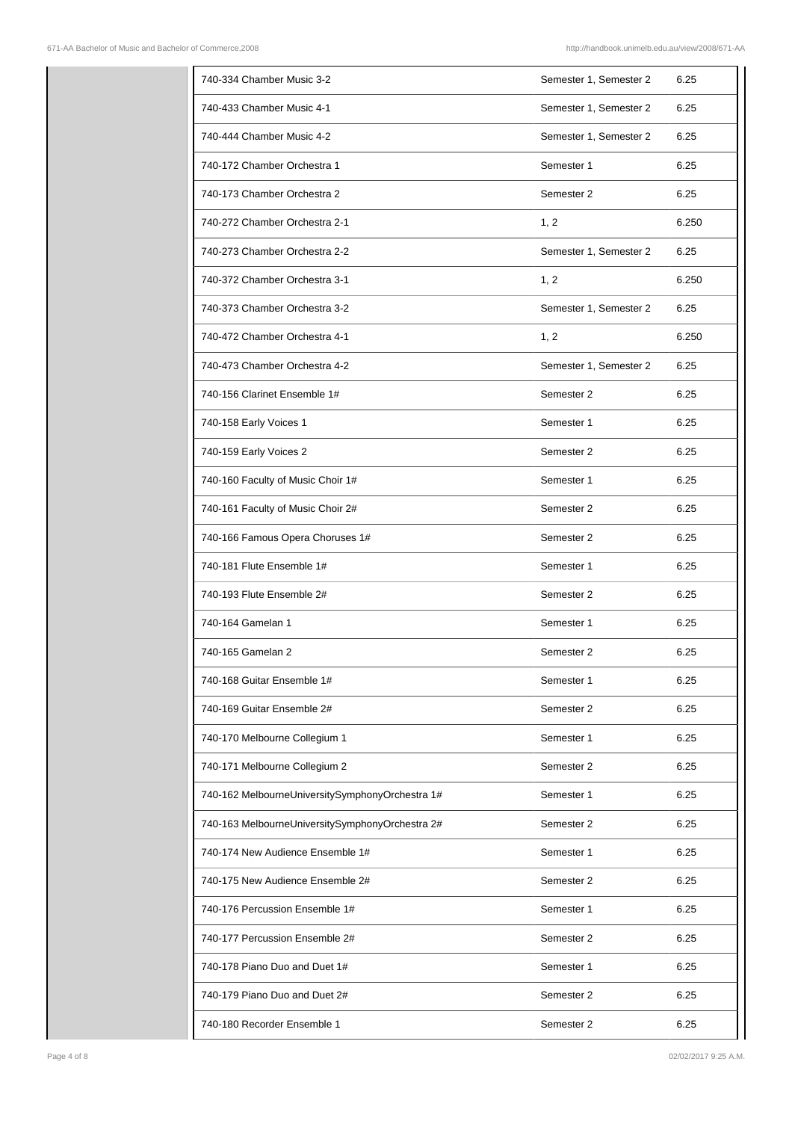| 740-334 Chamber Music 3-2                       | Semester 1, Semester 2 | 6.25  |
|-------------------------------------------------|------------------------|-------|
| 740-433 Chamber Music 4-1                       | Semester 1, Semester 2 | 6.25  |
| 740-444 Chamber Music 4-2                       | Semester 1, Semester 2 | 6.25  |
| 740-172 Chamber Orchestra 1                     | Semester 1             | 6.25  |
| 740-173 Chamber Orchestra 2                     | Semester 2             | 6.25  |
| 740-272 Chamber Orchestra 2-1                   | 1, 2                   | 6.250 |
| 740-273 Chamber Orchestra 2-2                   | Semester 1, Semester 2 | 6.25  |
| 740-372 Chamber Orchestra 3-1                   | 1, 2                   | 6.250 |
| 740-373 Chamber Orchestra 3-2                   | Semester 1, Semester 2 | 6.25  |
| 740-472 Chamber Orchestra 4-1                   | 1, 2                   | 6.250 |
| 740-473 Chamber Orchestra 4-2                   | Semester 1, Semester 2 | 6.25  |
| 740-156 Clarinet Ensemble 1#                    | Semester 2             | 6.25  |
| 740-158 Early Voices 1                          | Semester 1             | 6.25  |
| 740-159 Early Voices 2                          | Semester 2             | 6.25  |
| 740-160 Faculty of Music Choir 1#               | Semester 1             | 6.25  |
| 740-161 Faculty of Music Choir 2#               | Semester 2             | 6.25  |
| 740-166 Famous Opera Choruses 1#                | Semester 2             | 6.25  |
| 740-181 Flute Ensemble 1#                       | Semester 1             | 6.25  |
| 740-193 Flute Ensemble 2#                       | Semester 2             | 6.25  |
| 740-164 Gamelan 1                               | Semester 1             | 6.25  |
| 740-165 Gamelan 2                               | Semester 2             | 6.25  |
| 740-168 Guitar Ensemble 1#                      | Semester 1             | 6.25  |
| 740-169 Guitar Ensemble 2#                      | Semester 2             | 6.25  |
| 740-170 Melbourne Collegium 1                   | Semester 1             | 6.25  |
| 740-171 Melbourne Collegium 2                   | Semester 2             | 6.25  |
| 740-162 MelbourneUniversitySymphonyOrchestra 1# | Semester 1             | 6.25  |
| 740-163 MelbourneUniversitySymphonyOrchestra 2# | Semester 2             | 6.25  |
| 740-174 New Audience Ensemble 1#                | Semester 1             | 6.25  |
| 740-175 New Audience Ensemble 2#                | Semester 2             | 6.25  |
| 740-176 Percussion Ensemble 1#                  | Semester 1             | 6.25  |
| 740-177 Percussion Ensemble 2#                  | Semester 2             | 6.25  |
| 740-178 Piano Duo and Duet 1#                   | Semester 1             | 6.25  |
| 740-179 Piano Duo and Duet 2#                   | Semester 2             | 6.25  |
| 740-180 Recorder Ensemble 1                     | Semester 2             | 6.25  |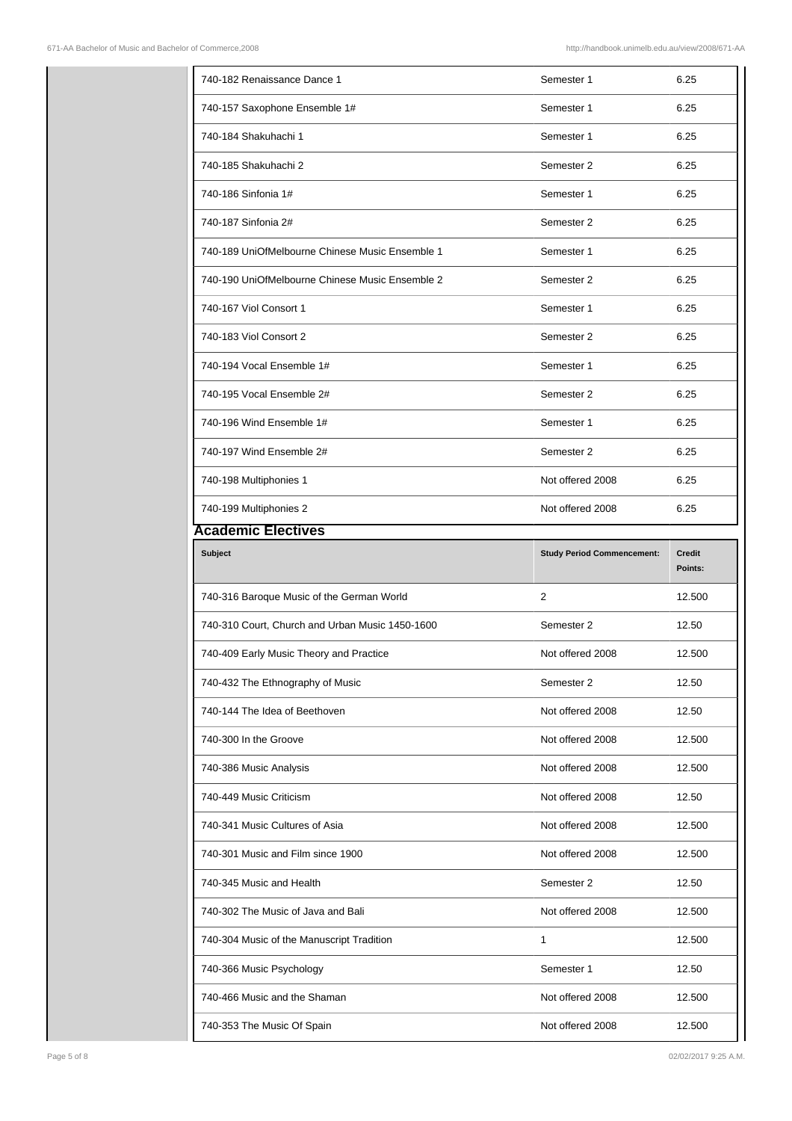| 740-182 Renaissance Dance 1                     | Semester 1                        | 6.25          |
|-------------------------------------------------|-----------------------------------|---------------|
| 740-157 Saxophone Ensemble 1#                   | Semester 1                        | 6.25          |
| 740-184 Shakuhachi 1                            | Semester 1                        | 6.25          |
| 740-185 Shakuhachi 2                            | Semester 2                        | 6.25          |
| 740-186 Sinfonia 1#                             | Semester 1                        | 6.25          |
| 740-187 Sinfonia 2#                             | Semester 2                        | 6.25          |
| 740-189 UniOfMelbourne Chinese Music Ensemble 1 | Semester 1                        | 6.25          |
| 740-190 UniOfMelbourne Chinese Music Ensemble 2 | Semester 2                        | 6.25          |
| 740-167 Viol Consort 1                          | Semester 1                        | 6.25          |
| 740-183 Viol Consort 2                          | Semester 2                        | 6.25          |
| 740-194 Vocal Ensemble 1#                       | Semester 1                        | 6.25          |
| 740-195 Vocal Ensemble 2#                       | Semester 2                        | 6.25          |
| 740-196 Wind Ensemble 1#                        | Semester 1                        | 6.25          |
| 740-197 Wind Ensemble 2#                        | Semester 2                        | 6.25          |
| 740-198 Multiphonies 1                          | Not offered 2008                  | 6.25          |
| 740-199 Multiphonies 2                          | Not offered 2008                  | 6.25          |
| <b>Academic Electives</b>                       |                                   |               |
| <b>Subject</b>                                  | <b>Study Period Commencement:</b> | <b>Credit</b> |
|                                                 |                                   | Points:       |
| 740-316 Baroque Music of the German World       | 2                                 | 12.500        |
| 740-310 Court, Church and Urban Music 1450-1600 | Semester 2                        | 12.50         |
| 740-409 Early Music Theory and Practice         | Not offered 2008                  | 12.500        |
| 740-432 The Ethnography of Music                | Semester 2                        | 12.50         |
| 740-144 The Idea of Beethoven                   | Not offered 2008                  | 12.50         |
| 740-300 In the Groove                           | Not offered 2008                  | 12.500        |
| 740-386 Music Analysis                          | Not offered 2008                  | 12.500        |
| 740-449 Music Criticism                         | Not offered 2008                  | 12.50         |
| 740-341 Music Cultures of Asia                  | Not offered 2008                  | 12.500        |
| 740-301 Music and Film since 1900               | Not offered 2008                  | 12.500        |
| 740-345 Music and Health                        | Semester 2                        | 12.50         |
| 740-302 The Music of Java and Bali              | Not offered 2008                  | 12.500        |
| 740-304 Music of the Manuscript Tradition       | 1                                 | 12.500        |
| 740-366 Music Psychology                        | Semester 1                        | 12.50         |
| 740-466 Music and the Shaman                    | Not offered 2008                  | 12.500        |
| 740-353 The Music Of Spain                      | Not offered 2008                  | 12.500        |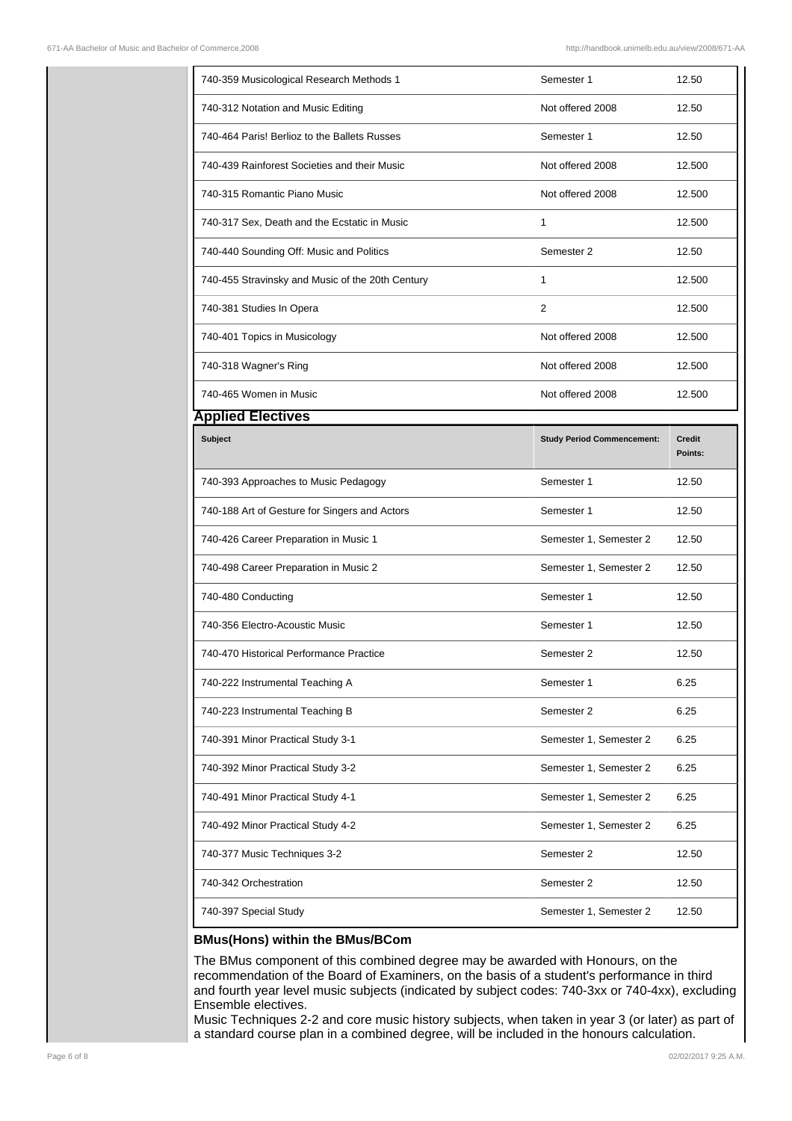| 740-359 Musicological Research Methods 1         | Semester 1                        | 12.50                    |
|--------------------------------------------------|-----------------------------------|--------------------------|
| 740-312 Notation and Music Editing               | Not offered 2008                  | 12.50                    |
| 740-464 Paris! Berlioz to the Ballets Russes     | Semester 1                        | 12.50                    |
| 740-439 Rainforest Societies and their Music     | Not offered 2008                  | 12.500                   |
| 740-315 Romantic Piano Music                     | Not offered 2008                  | 12.500                   |
| 740-317 Sex, Death and the Ecstatic in Music     | $\mathbf{1}$                      | 12.500                   |
| 740-440 Sounding Off: Music and Politics         | Semester 2                        | 12.50                    |
| 740-455 Stravinsky and Music of the 20th Century | 1                                 | 12.500                   |
| 740-381 Studies In Opera                         | 2                                 | 12.500                   |
| 740-401 Topics in Musicology                     | Not offered 2008                  | 12.500                   |
| 740-318 Wagner's Ring                            | Not offered 2008                  | 12.500                   |
| 740-465 Women in Music                           | Not offered 2008                  | 12.500                   |
| <b>Applied Electives</b>                         |                                   |                          |
| <b>Subject</b>                                   | <b>Study Period Commencement:</b> | <b>Credit</b><br>Points: |
| 740-393 Approaches to Music Pedagogy             | Semester 1                        | 12.50                    |
| 740-188 Art of Gesture for Singers and Actors    | Semester 1                        | 12.50                    |
|                                                  |                                   |                          |
| 740-426 Career Preparation in Music 1            | Semester 1, Semester 2            | 12.50                    |
| 740-498 Career Preparation in Music 2            | Semester 1, Semester 2            | 12.50                    |
| 740-480 Conducting                               | Semester 1                        | 12.50                    |
| 740-356 Electro-Acoustic Music                   | Semester 1                        | 12.50                    |
| 740-470 Historical Performance Practice          | Semester 2                        | 12.50                    |
| 740-222 Instrumental Teaching A                  | Semester 1                        | 6.25                     |
| 740-223 Instrumental Teaching B                  | Semester 2                        | 6.25                     |
| 740-391 Minor Practical Study 3-1                | Semester 1, Semester 2            | 6.25                     |
| 740-392 Minor Practical Study 3-2                | Semester 1, Semester 2            | 6.25                     |
| 740-491 Minor Practical Study 4-1                | Semester 1, Semester 2            | 6.25                     |
| 740-492 Minor Practical Study 4-2                | Semester 1, Semester 2            | 6.25                     |
| 740-377 Music Techniques 3-2                     | Semester 2                        | 12.50                    |
| 740-342 Orchestration                            | Semester 2                        | 12.50                    |

## **BMus(Hons) within the BMus/BCom**

The BMus component of this combined degree may be awarded with Honours, on the recommendation of the Board of Examiners, on the basis of a student's performance in third and fourth year level music subjects (indicated by subject codes: 740-3xx or 740-4xx), excluding Ensemble electives.

Music Techniques 2-2 and core music history subjects, when taken in year 3 (or later) as part of a standard course plan in a combined degree, will be included in the honours calculation.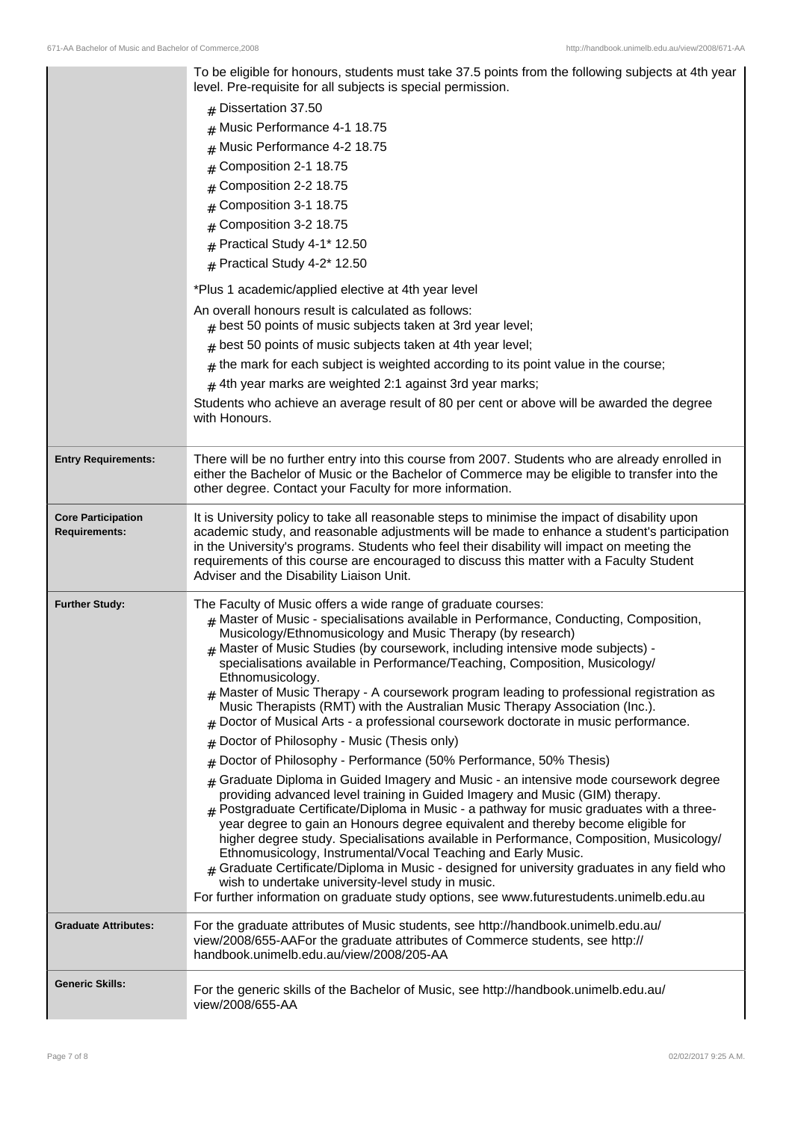|                                                   | To be eligible for honours, students must take 37.5 points from the following subjects at 4th year<br>level. Pre-requisite for all subjects is special permission.<br>$#$ Dissertation 37.50<br>Music Performance 4-1 18.75<br>#<br>Music Performance 4-2 18.75<br>#<br>Composition 2-1 18.75<br>#<br>Composition 2-2 18.75<br>Composition 3-1 18.75<br>Composition 3-2 18.75<br>#<br>Practical Study 4-1* 12.50<br>$#$ Practical Study 4-2* 12.50                                                                                                                                                                                                                                                                                                                     |
|---------------------------------------------------|------------------------------------------------------------------------------------------------------------------------------------------------------------------------------------------------------------------------------------------------------------------------------------------------------------------------------------------------------------------------------------------------------------------------------------------------------------------------------------------------------------------------------------------------------------------------------------------------------------------------------------------------------------------------------------------------------------------------------------------------------------------------|
|                                                   | *Plus 1 academic/applied elective at 4th year level                                                                                                                                                                                                                                                                                                                                                                                                                                                                                                                                                                                                                                                                                                                    |
|                                                   | An overall honours result is calculated as follows:<br>$#$ best 50 points of music subjects taken at 3rd year level;                                                                                                                                                                                                                                                                                                                                                                                                                                                                                                                                                                                                                                                   |
|                                                   | best 50 points of music subjects taken at 4th year level;<br>#                                                                                                                                                                                                                                                                                                                                                                                                                                                                                                                                                                                                                                                                                                         |
|                                                   | the mark for each subject is weighted according to its point value in the course;                                                                                                                                                                                                                                                                                                                                                                                                                                                                                                                                                                                                                                                                                      |
|                                                   | $#$ 4th year marks are weighted 2:1 against 3rd year marks;                                                                                                                                                                                                                                                                                                                                                                                                                                                                                                                                                                                                                                                                                                            |
|                                                   | Students who achieve an average result of 80 per cent or above will be awarded the degree<br>with Honours.                                                                                                                                                                                                                                                                                                                                                                                                                                                                                                                                                                                                                                                             |
| <b>Entry Requirements:</b>                        | There will be no further entry into this course from 2007. Students who are already enrolled in<br>either the Bachelor of Music or the Bachelor of Commerce may be eligible to transfer into the<br>other degree. Contact your Faculty for more information.                                                                                                                                                                                                                                                                                                                                                                                                                                                                                                           |
| <b>Core Participation</b><br><b>Requirements:</b> | It is University policy to take all reasonable steps to minimise the impact of disability upon<br>academic study, and reasonable adjustments will be made to enhance a student's participation<br>in the University's programs. Students who feel their disability will impact on meeting the<br>requirements of this course are encouraged to discuss this matter with a Faculty Student<br>Adviser and the Disability Liaison Unit.                                                                                                                                                                                                                                                                                                                                  |
| <b>Further Study:</b>                             | The Faculty of Music offers a wide range of graduate courses:<br>$#$ Master of Music - specialisations available in Performance, Conducting, Composition,<br>Musicology/Ethnomusicology and Music Therapy (by research)<br># Master of Music Studies (by coursework, including intensive mode subjects) -<br>specialisations available in Performance/Teaching, Composition, Musicology/<br>Ethnomusicology.<br>Master of Music Therapy - A coursework program leading to professional registration as<br>Music Therapists (RMT) with the Australian Music Therapy Association (Inc.).<br>Doctor of Musical Arts - a professional coursework doctorate in music performance.<br>#                                                                                      |
|                                                   | Doctor of Philosophy - Music (Thesis only)<br>#                                                                                                                                                                                                                                                                                                                                                                                                                                                                                                                                                                                                                                                                                                                        |
|                                                   | Doctor of Philosophy - Performance (50% Performance, 50% Thesis)<br>#                                                                                                                                                                                                                                                                                                                                                                                                                                                                                                                                                                                                                                                                                                  |
|                                                   | Graduate Diploma in Guided Imagery and Music - an intensive mode coursework degree<br>#<br>providing advanced level training in Guided Imagery and Music (GIM) therapy.<br>$#$ Postgraduate Certificate/Diploma in Music - a pathway for music graduates with a three-<br>year degree to gain an Honours degree equivalent and thereby become eligible for<br>higher degree study. Specialisations available in Performance, Composition, Musicology/<br>Ethnomusicology, Instrumental/Vocal Teaching and Early Music.<br>Graduate Certificate/Diploma in Music - designed for university graduates in any field who<br>wish to undertake university-level study in music.<br>For further information on graduate study options, see www.futurestudents.unimelb.edu.au |
| <b>Graduate Attributes:</b>                       | For the graduate attributes of Music students, see http://handbook.unimelb.edu.au/<br>view/2008/655-AAFor the graduate attributes of Commerce students, see http://<br>handbook.unimelb.edu.au/view/2008/205-AA                                                                                                                                                                                                                                                                                                                                                                                                                                                                                                                                                        |
| <b>Generic Skills:</b>                            | For the generic skills of the Bachelor of Music, see http://handbook.unimelb.edu.au/<br>view/2008/655-AA                                                                                                                                                                                                                                                                                                                                                                                                                                                                                                                                                                                                                                                               |